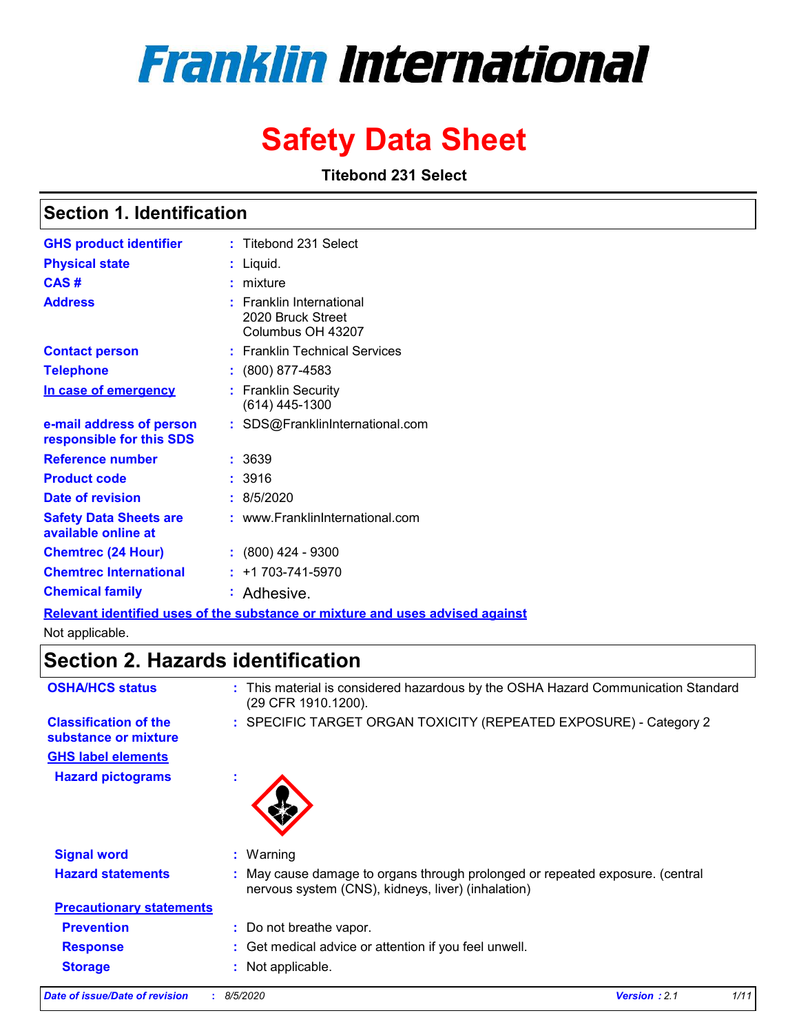# **Franklin International**

## **Safety Data Sheet**

**Titebond 231 Select**

### **Section 1. Identification**

| <b>GHS product identifier</b>                        | : Titebond 231 Select                                                                                                |
|------------------------------------------------------|----------------------------------------------------------------------------------------------------------------------|
| <b>Physical state</b>                                | Liquid.                                                                                                              |
| CAS#                                                 | mixture                                                                                                              |
| <b>Address</b>                                       | <b>Franklin International</b><br>2020 Bruck Street<br>Columbus OH 43207                                              |
| <b>Contact person</b>                                | : Franklin Technical Services                                                                                        |
| <b>Telephone</b>                                     | $: (800) 877-4583$                                                                                                   |
| In case of emergency                                 | <b>Franklin Security</b><br>(614) 445-1300                                                                           |
| e-mail address of person<br>responsible for this SDS | : SDS@FranklinInternational.com                                                                                      |
| <b>Reference number</b>                              | : 3639                                                                                                               |
| <b>Product code</b>                                  | :3916                                                                                                                |
| Date of revision                                     | : 8/5/2020                                                                                                           |
| <b>Safety Data Sheets are</b><br>available online at | : www.FranklinInternational.com                                                                                      |
| <b>Chemtrec (24 Hour)</b>                            | $: (800)$ 424 - 9300                                                                                                 |
| <b>Chemtrec International</b>                        | $: +1703 - 741 - 5970$                                                                                               |
| <b>Chemical family</b>                               | : Adhesive.                                                                                                          |
|                                                      | 1950 i bere de la familia de la familia de la familia de la concerta de la familia de la capital de la familia de la |

**Relevant identified uses of the substance or mixture and uses advised against** Not applicable.

### **Section 2. Hazards identification**

| <b>OSHA/HCS status</b>                               | This material is considered hazardous by the OSHA Hazard Communication Standard<br>(29 CFR 1910.1200).                            |
|------------------------------------------------------|-----------------------------------------------------------------------------------------------------------------------------------|
| <b>Classification of the</b><br>substance or mixture | : SPECIFIC TARGET ORGAN TOXICITY (REPEATED EXPOSURE) - Category 2                                                                 |
| <b>GHS label elements</b>                            |                                                                                                                                   |
| <b>Hazard pictograms</b>                             |                                                                                                                                   |
| <b>Signal word</b>                                   | $:$ Warning                                                                                                                       |
|                                                      |                                                                                                                                   |
| <b>Hazard statements</b>                             | May cause damage to organs through prolonged or repeated exposure. (central<br>nervous system (CNS), kidneys, liver) (inhalation) |
| <b>Precautionary statements</b>                      |                                                                                                                                   |
| <b>Prevention</b>                                    | : Do not breathe vapor.                                                                                                           |
| <b>Response</b>                                      | : Get medical advice or attention if you feel unwell.                                                                             |
| <b>Storage</b>                                       | Not applicable.                                                                                                                   |
|                                                      |                                                                                                                                   |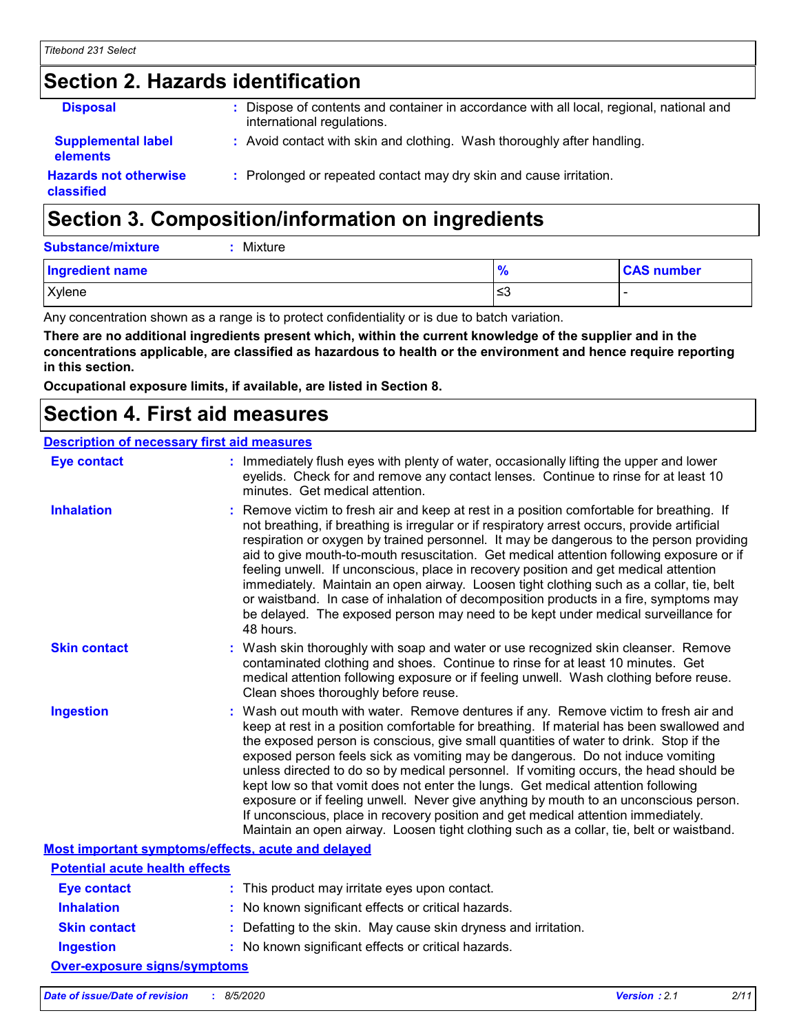### **Section 2. Hazards identification**

| <b>Disposal</b>                              | Dispose of contents and container in accordance with all local, regional, national and<br>international regulations. |
|----------------------------------------------|----------------------------------------------------------------------------------------------------------------------|
| <b>Supplemental label</b><br><b>elements</b> | : Avoid contact with skin and clothing. Wash thoroughly after handling.                                              |
| <b>Hazards not otherwise</b><br>classified   | : Prolonged or repeated contact may dry skin and cause irritation.                                                   |

### **Section 3. Composition/information on ingredients**

**Substance/mixture :** Mixture

| <b>Ingredient name</b> | 70        | <b>CAS number</b> |
|------------------------|-----------|-------------------|
| Xylene                 | یر<br>ت≤ا |                   |

Any concentration shown as a range is to protect confidentiality or is due to batch variation.

**There are no additional ingredients present which, within the current knowledge of the supplier and in the concentrations applicable, are classified as hazardous to health or the environment and hence require reporting in this section.**

**Occupational exposure limits, if available, are listed in Section 8.**

### **Section 4. First aid measures**

#### **Description of necessary first aid measures**

| <b>Eye contact</b>                                 | : Immediately flush eyes with plenty of water, occasionally lifting the upper and lower<br>eyelids. Check for and remove any contact lenses. Continue to rinse for at least 10<br>minutes. Get medical attention.                                                                                                                                                                                                                                                                                                                                                                                                                                                                                                                                                                                                 |
|----------------------------------------------------|-------------------------------------------------------------------------------------------------------------------------------------------------------------------------------------------------------------------------------------------------------------------------------------------------------------------------------------------------------------------------------------------------------------------------------------------------------------------------------------------------------------------------------------------------------------------------------------------------------------------------------------------------------------------------------------------------------------------------------------------------------------------------------------------------------------------|
| <b>Inhalation</b>                                  | : Remove victim to fresh air and keep at rest in a position comfortable for breathing. If<br>not breathing, if breathing is irregular or if respiratory arrest occurs, provide artificial<br>respiration or oxygen by trained personnel. It may be dangerous to the person providing<br>aid to give mouth-to-mouth resuscitation. Get medical attention following exposure or if<br>feeling unwell. If unconscious, place in recovery position and get medical attention<br>immediately. Maintain an open airway. Loosen tight clothing such as a collar, tie, belt<br>or waistband. In case of inhalation of decomposition products in a fire, symptoms may<br>be delayed. The exposed person may need to be kept under medical surveillance for<br>48 hours.                                                    |
| <b>Skin contact</b>                                | : Wash skin thoroughly with soap and water or use recognized skin cleanser. Remove<br>contaminated clothing and shoes. Continue to rinse for at least 10 minutes. Get<br>medical attention following exposure or if feeling unwell. Wash clothing before reuse.<br>Clean shoes thoroughly before reuse.                                                                                                                                                                                                                                                                                                                                                                                                                                                                                                           |
| <b>Ingestion</b>                                   | : Wash out mouth with water. Remove dentures if any. Remove victim to fresh air and<br>keep at rest in a position comfortable for breathing. If material has been swallowed and<br>the exposed person is conscious, give small quantities of water to drink. Stop if the<br>exposed person feels sick as vomiting may be dangerous. Do not induce vomiting<br>unless directed to do so by medical personnel. If vomiting occurs, the head should be<br>kept low so that vomit does not enter the lungs. Get medical attention following<br>exposure or if feeling unwell. Never give anything by mouth to an unconscious person.<br>If unconscious, place in recovery position and get medical attention immediately.<br>Maintain an open airway. Loosen tight clothing such as a collar, tie, belt or waistband. |
| Most important symptoms/effects, acute and delayed |                                                                                                                                                                                                                                                                                                                                                                                                                                                                                                                                                                                                                                                                                                                                                                                                                   |
| <b>Potential acute health effects</b>              |                                                                                                                                                                                                                                                                                                                                                                                                                                                                                                                                                                                                                                                                                                                                                                                                                   |
| <b>Eye contact</b>                                 | : This product may irritate eyes upon contact.                                                                                                                                                                                                                                                                                                                                                                                                                                                                                                                                                                                                                                                                                                                                                                    |
| <b>Inhalation</b>                                  | : No known significant effects or critical hazards.                                                                                                                                                                                                                                                                                                                                                                                                                                                                                                                                                                                                                                                                                                                                                               |
| <b>Skin contact</b>                                | : Defatting to the skin. May cause skin dryness and irritation.                                                                                                                                                                                                                                                                                                                                                                                                                                                                                                                                                                                                                                                                                                                                                   |
| <b>Ingestion</b>                                   | : No known significant effects or critical hazards.                                                                                                                                                                                                                                                                                                                                                                                                                                                                                                                                                                                                                                                                                                                                                               |
| <b>Over-exposure signs/symptoms</b>                |                                                                                                                                                                                                                                                                                                                                                                                                                                                                                                                                                                                                                                                                                                                                                                                                                   |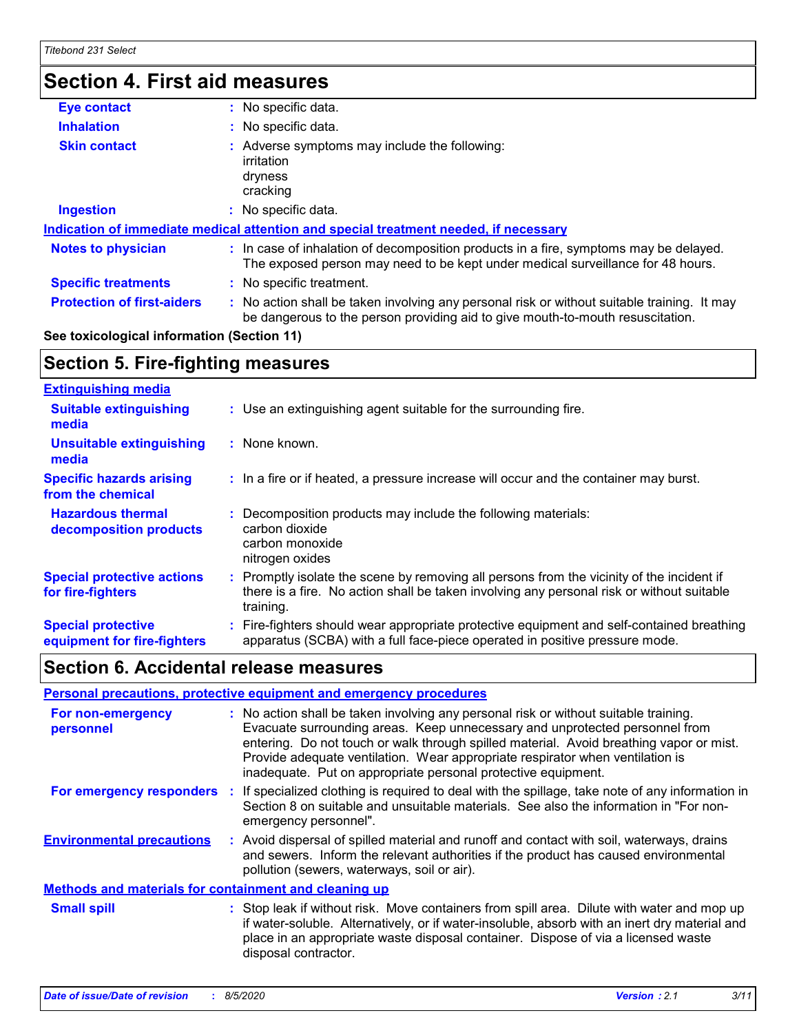### **Section 4. First aid measures**

| Eye contact                                | : No specific data.                                                                                                                                                           |
|--------------------------------------------|-------------------------------------------------------------------------------------------------------------------------------------------------------------------------------|
| <b>Inhalation</b>                          | : No specific data.                                                                                                                                                           |
| <b>Skin contact</b>                        | : Adverse symptoms may include the following:<br>irritation<br>dryness<br>cracking                                                                                            |
| <b>Ingestion</b>                           | No specific data.                                                                                                                                                             |
|                                            | Indication of immediate medical attention and special treatment needed, if necessary                                                                                          |
| <b>Notes to physician</b>                  | : In case of inhalation of decomposition products in a fire, symptoms may be delayed.<br>The exposed person may need to be kept under medical surveillance for 48 hours.      |
| <b>Specific treatments</b>                 | : No specific treatment.                                                                                                                                                      |
| <b>Protection of first-aiders</b>          | : No action shall be taken involving any personal risk or without suitable training. It may<br>be dangerous to the person providing aid to give mouth-to-mouth resuscitation. |
| See toxicological information (Section 11) |                                                                                                                                                                               |

### **Section 5. Fire-fighting measures**

| <b>Extinguishing media</b>                               |                                                                                                                                                                                                   |
|----------------------------------------------------------|---------------------------------------------------------------------------------------------------------------------------------------------------------------------------------------------------|
| <b>Suitable extinguishing</b><br>media                   | : Use an extinguishing agent suitable for the surrounding fire.                                                                                                                                   |
| <b>Unsuitable extinguishing</b><br>media                 | : None known.                                                                                                                                                                                     |
| <b>Specific hazards arising</b><br>from the chemical     | : In a fire or if heated, a pressure increase will occur and the container may burst.                                                                                                             |
| <b>Hazardous thermal</b><br>decomposition products       | Decomposition products may include the following materials:<br>carbon dioxide<br>carbon monoxide<br>nitrogen oxides                                                                               |
| <b>Special protective actions</b><br>for fire-fighters   | Promptly isolate the scene by removing all persons from the vicinity of the incident if<br>there is a fire. No action shall be taken involving any personal risk or without suitable<br>training. |
| <b>Special protective</b><br>equipment for fire-fighters | : Fire-fighters should wear appropriate protective equipment and self-contained breathing<br>apparatus (SCBA) with a full face-piece operated in positive pressure mode.                          |

### **Section 6. Accidental release measures**

|                                                              |  | Personal precautions, protective equipment and emergency procedures                                                                                                                                                                                                                                                                                                                                              |  |
|--------------------------------------------------------------|--|------------------------------------------------------------------------------------------------------------------------------------------------------------------------------------------------------------------------------------------------------------------------------------------------------------------------------------------------------------------------------------------------------------------|--|
| For non-emergency<br>personnel                               |  | : No action shall be taken involving any personal risk or without suitable training.<br>Evacuate surrounding areas. Keep unnecessary and unprotected personnel from<br>entering. Do not touch or walk through spilled material. Avoid breathing vapor or mist.<br>Provide adequate ventilation. Wear appropriate respirator when ventilation is<br>inadequate. Put on appropriate personal protective equipment. |  |
| <b>For emergency responders :</b>                            |  | If specialized clothing is required to deal with the spillage, take note of any information in<br>Section 8 on suitable and unsuitable materials. See also the information in "For non-<br>emergency personnel".                                                                                                                                                                                                 |  |
| <b>Environmental precautions</b>                             |  | : Avoid dispersal of spilled material and runoff and contact with soil, waterways, drains<br>and sewers. Inform the relevant authorities if the product has caused environmental<br>pollution (sewers, waterways, soil or air).                                                                                                                                                                                  |  |
| <b>Methods and materials for containment and cleaning up</b> |  |                                                                                                                                                                                                                                                                                                                                                                                                                  |  |
| <b>Small spill</b>                                           |  | : Stop leak if without risk. Move containers from spill area. Dilute with water and mop up<br>if water-soluble. Alternatively, or if water-insoluble, absorb with an inert dry material and<br>place in an appropriate waste disposal container. Dispose of via a licensed waste<br>disposal contractor.                                                                                                         |  |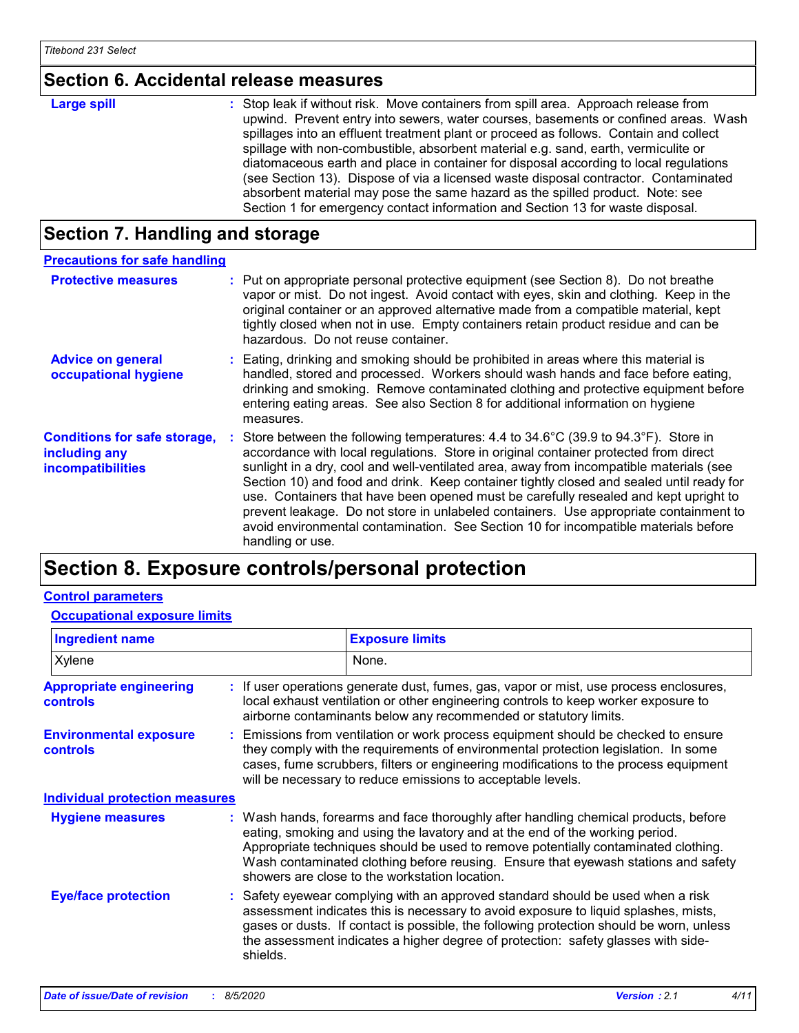### **Section 6. Accidental release measures**

| <b>Large spill</b> | : Stop leak if without risk. Move containers from spill area. Approach release from<br>upwind. Prevent entry into sewers, water courses, basements or confined areas. Wash<br>spillages into an effluent treatment plant or proceed as follows. Contain and collect<br>spillage with non-combustible, absorbent material e.g. sand, earth, vermiculite or<br>diatomaceous earth and place in container for disposal according to local regulations<br>(see Section 13). Dispose of via a licensed waste disposal contractor. Contaminated<br>absorbent material may pose the same hazard as the spilled product. Note: see |
|--------------------|----------------------------------------------------------------------------------------------------------------------------------------------------------------------------------------------------------------------------------------------------------------------------------------------------------------------------------------------------------------------------------------------------------------------------------------------------------------------------------------------------------------------------------------------------------------------------------------------------------------------------|
|                    | Section 1 for emergency contact information and Section 13 for waste disposal.                                                                                                                                                                                                                                                                                                                                                                                                                                                                                                                                             |

### **Section 7. Handling and storage**

| <b>Precautions for safe handling</b>                                             |                                                                                                                                                                                                                                                                                                                                                                                                                                                                                                                                                                                                                                                                                     |
|----------------------------------------------------------------------------------|-------------------------------------------------------------------------------------------------------------------------------------------------------------------------------------------------------------------------------------------------------------------------------------------------------------------------------------------------------------------------------------------------------------------------------------------------------------------------------------------------------------------------------------------------------------------------------------------------------------------------------------------------------------------------------------|
| <b>Protective measures</b>                                                       | : Put on appropriate personal protective equipment (see Section 8). Do not breathe<br>vapor or mist. Do not ingest. Avoid contact with eyes, skin and clothing. Keep in the<br>original container or an approved alternative made from a compatible material, kept<br>tightly closed when not in use. Empty containers retain product residue and can be<br>hazardous. Do not reuse container.                                                                                                                                                                                                                                                                                      |
| <b>Advice on general</b><br>occupational hygiene                                 | : Eating, drinking and smoking should be prohibited in areas where this material is<br>handled, stored and processed. Workers should wash hands and face before eating,<br>drinking and smoking. Remove contaminated clothing and protective equipment before<br>entering eating areas. See also Section 8 for additional information on hygiene<br>measures.                                                                                                                                                                                                                                                                                                                       |
| <b>Conditions for safe storage,</b><br>including any<br><i>incompatibilities</i> | Store between the following temperatures: $4.4$ to $34.6^{\circ}$ C (39.9 to $94.3^{\circ}$ F). Store in<br>accordance with local regulations. Store in original container protected from direct<br>sunlight in a dry, cool and well-ventilated area, away from incompatible materials (see<br>Section 10) and food and drink. Keep container tightly closed and sealed until ready for<br>use. Containers that have been opened must be carefully resealed and kept upright to<br>prevent leakage. Do not store in unlabeled containers. Use appropriate containment to<br>avoid environmental contamination. See Section 10 for incompatible materials before<br>handling or use. |

### **Section 8. Exposure controls/personal protection**

### **Control parameters**

#### **Occupational exposure limits**

| <b>Ingredient name</b>                            |          | <b>Exposure limits</b>                                                                                                                                                                                                                                                                                                                                                                            |
|---------------------------------------------------|----------|---------------------------------------------------------------------------------------------------------------------------------------------------------------------------------------------------------------------------------------------------------------------------------------------------------------------------------------------------------------------------------------------------|
| Xylene                                            |          | None.                                                                                                                                                                                                                                                                                                                                                                                             |
| <b>Appropriate engineering</b><br><b>controls</b> |          | : If user operations generate dust, fumes, gas, vapor or mist, use process enclosures,<br>local exhaust ventilation or other engineering controls to keep worker exposure to<br>airborne contaminants below any recommended or statutory limits.                                                                                                                                                  |
| <b>Environmental exposure</b><br><b>controls</b>  |          | : Emissions from ventilation or work process equipment should be checked to ensure<br>they comply with the requirements of environmental protection legislation. In some<br>cases, fume scrubbers, filters or engineering modifications to the process equipment<br>will be necessary to reduce emissions to acceptable levels.                                                                   |
| <b>Individual protection measures</b>             |          |                                                                                                                                                                                                                                                                                                                                                                                                   |
| <b>Hygiene measures</b>                           |          | : Wash hands, forearms and face thoroughly after handling chemical products, before<br>eating, smoking and using the lavatory and at the end of the working period.<br>Appropriate techniques should be used to remove potentially contaminated clothing.<br>Wash contaminated clothing before reusing. Ensure that eyewash stations and safety<br>showers are close to the workstation location. |
| <b>Eye/face protection</b>                        | shields. | : Safety eyewear complying with an approved standard should be used when a risk<br>assessment indicates this is necessary to avoid exposure to liquid splashes, mists,<br>gases or dusts. If contact is possible, the following protection should be worn, unless<br>the assessment indicates a higher degree of protection: safety glasses with side-                                            |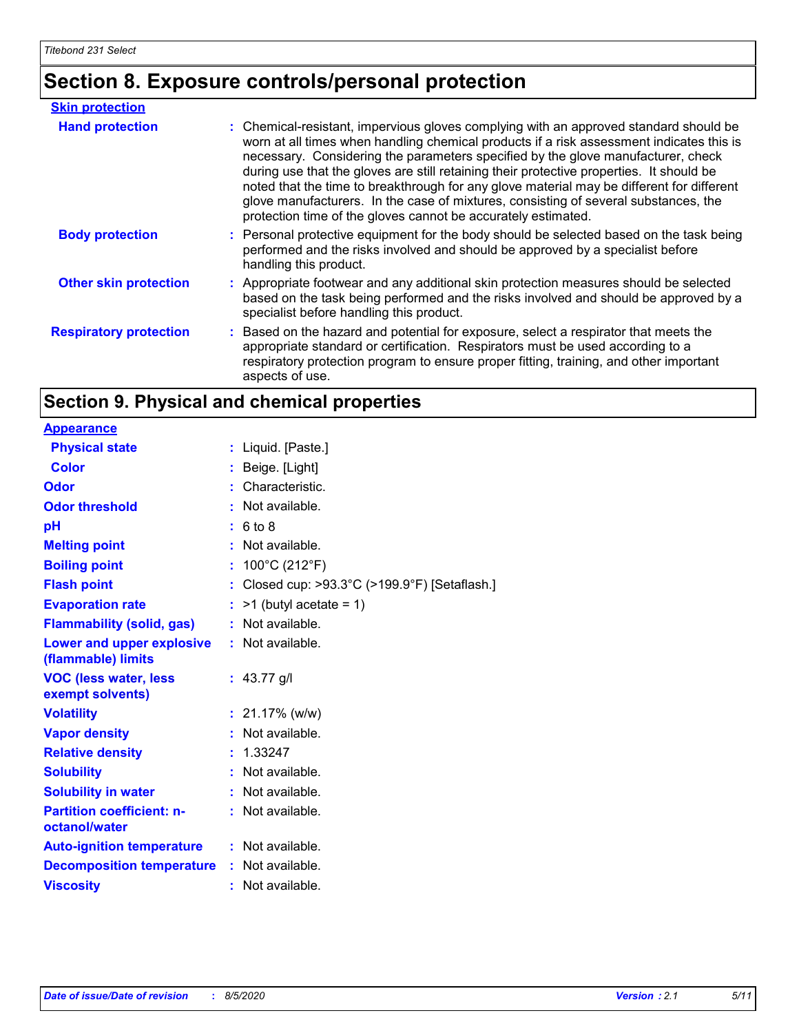## **Section 8. Exposure controls/personal protection**

| <b>Skin protection</b>        |                                                                                                                                                                                                                                                                                                                                                                                                                                                                                                                                                                                                                        |
|-------------------------------|------------------------------------------------------------------------------------------------------------------------------------------------------------------------------------------------------------------------------------------------------------------------------------------------------------------------------------------------------------------------------------------------------------------------------------------------------------------------------------------------------------------------------------------------------------------------------------------------------------------------|
| <b>Hand protection</b>        | : Chemical-resistant, impervious gloves complying with an approved standard should be<br>worn at all times when handling chemical products if a risk assessment indicates this is<br>necessary. Considering the parameters specified by the glove manufacturer, check<br>during use that the gloves are still retaining their protective properties. It should be<br>noted that the time to breakthrough for any glove material may be different for different<br>glove manufacturers. In the case of mixtures, consisting of several substances, the<br>protection time of the gloves cannot be accurately estimated. |
| <b>Body protection</b>        | : Personal protective equipment for the body should be selected based on the task being<br>performed and the risks involved and should be approved by a specialist before<br>handling this product.                                                                                                                                                                                                                                                                                                                                                                                                                    |
| <b>Other skin protection</b>  | : Appropriate footwear and any additional skin protection measures should be selected<br>based on the task being performed and the risks involved and should be approved by a<br>specialist before handling this product.                                                                                                                                                                                                                                                                                                                                                                                              |
| <b>Respiratory protection</b> | : Based on the hazard and potential for exposure, select a respirator that meets the<br>appropriate standard or certification. Respirators must be used according to a<br>respiratory protection program to ensure proper fitting, training, and other important<br>aspects of use.                                                                                                                                                                                                                                                                                                                                    |

### **Section 9. Physical and chemical properties**

| <b>Appearance</b>                                 |    |                                             |
|---------------------------------------------------|----|---------------------------------------------|
| <b>Physical state</b>                             | t. | Liquid. [Paste.]                            |
| <b>Color</b>                                      |    | : Beige. [Light]                            |
| Odor                                              |    | Characteristic.                             |
| <b>Odor threshold</b>                             |    | Not available.                              |
| рH                                                |    | : 6 to 8                                    |
| <b>Melting point</b>                              |    | : Not available.                            |
| <b>Boiling point</b>                              |    | 100°C (212°F)                               |
| <b>Flash point</b>                                |    | Closed cup: >93.3°C (>199.9°F) [Setaflash.] |
| <b>Evaporation rate</b>                           |    | $>1$ (butyl acetate = 1)                    |
| <b>Flammability (solid, gas)</b>                  |    | Not available.                              |
| Lower and upper explosive<br>(flammable) limits   |    | : Not available.                            |
| <b>VOC (less water, less</b><br>exempt solvents)  |    | : $43.77$ g/l                               |
| <b>Volatility</b>                                 |    | $: 21.17\%$ (w/w)                           |
| <b>Vapor density</b>                              |    | Not available.                              |
| <b>Relative density</b>                           |    | 1.33247                                     |
| <b>Solubility</b>                                 |    | Not available.                              |
| <b>Solubility in water</b>                        |    | Not available.                              |
| <b>Partition coefficient: n-</b><br>octanol/water |    | : Not available.                            |
| <b>Auto-ignition temperature</b>                  |    | : Not available.                            |
| <b>Decomposition temperature</b>                  |    | $:$ Not available.                          |
| <b>Viscosity</b>                                  |    | Not available.                              |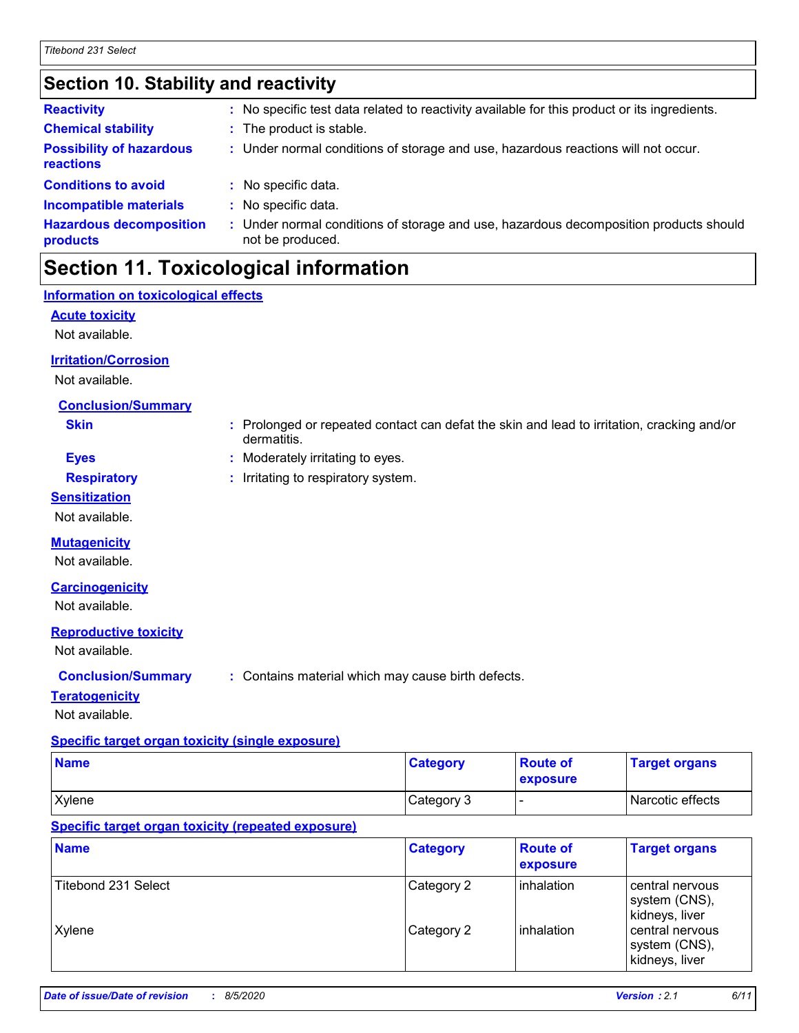### **Section 10. Stability and reactivity**

| <b>Reactivity</b>                            |    | : No specific test data related to reactivity available for this product or its ingredients.            |
|----------------------------------------------|----|---------------------------------------------------------------------------------------------------------|
| <b>Chemical stability</b>                    |    | : The product is stable.                                                                                |
| <b>Possibility of hazardous</b><br>reactions |    | : Under normal conditions of storage and use, hazardous reactions will not occur.                       |
| <b>Conditions to avoid</b>                   |    | : No specific data.                                                                                     |
| <b>Incompatible materials</b>                |    | : No specific data.                                                                                     |
| <b>Hazardous decomposition</b><br>products   | t. | Under normal conditions of storage and use, hazardous decomposition products should<br>not be produced. |
|                                              |    |                                                                                                         |

### **Section 11. Toxicological information**

dermatitis.

### **Information on toxicological effects**

**Acute toxicity**

Not available.

#### **Irritation/Corrosion**

Not available.

#### **Conclusion/Summary**

**Skin :** Prolonged or repeated contact can defat the skin and lead to irritation, cracking and/or

**Eyes :** Moderately irritating to eyes.

#### **Respiratory :** Irritating to respiratory system.

**Sensitization**

Not available.

#### **Mutagenicity**

Not available.

#### **Carcinogenicity**

Not available.

#### **Reproductive toxicity**

Not available.

**Conclusion/Summary :** Contains material which may cause birth defects.

#### **Teratogenicity**

Not available.

### **Specific target organ toxicity (single exposure)**

| <b>Name</b> | <b>Category</b> | <b>Route of</b><br><b>exposure</b> | <b>Target organs</b> |
|-------------|-----------------|------------------------------------|----------------------|
| Xylene      | Category 3      |                                    | Narcotic effects     |

#### **Specific target organ toxicity (repeated exposure)**

| <b>Name</b>                | <b>Category</b> | <b>Route of</b><br>exposure | <b>Target organs</b>                               |
|----------------------------|-----------------|-----------------------------|----------------------------------------------------|
| <b>Titebond 231 Select</b> | Category 2      | <b>linhalation</b>          | central nervous<br>system (CNS),<br>kidneys, liver |
| Xylene                     | Category 2      | <b>linhalation</b>          | central nervous<br>system (CNS),<br>kidneys, liver |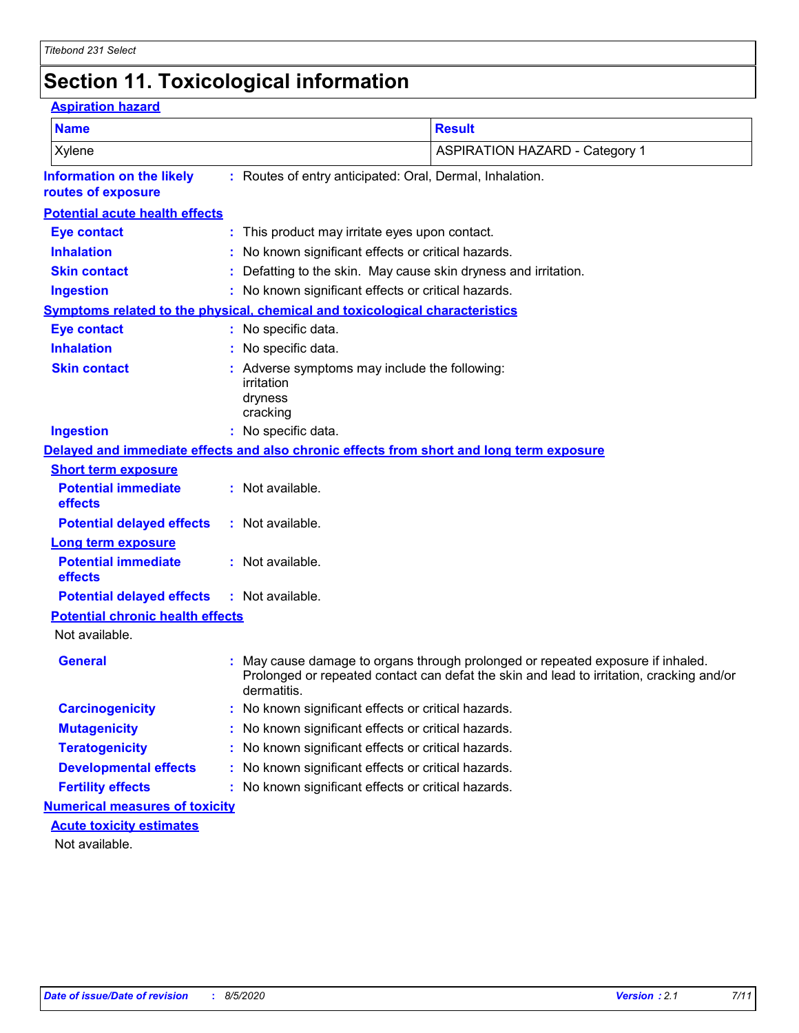### **Section 11. Toxicological information**

| <b>Aspiration hazard</b>                                                     |                                   |                                                                                                                                                                           |
|------------------------------------------------------------------------------|-----------------------------------|---------------------------------------------------------------------------------------------------------------------------------------------------------------------------|
| <b>Name</b>                                                                  |                                   | <b>Result</b>                                                                                                                                                             |
| Xylene                                                                       |                                   | <b>ASPIRATION HAZARD - Category 1</b>                                                                                                                                     |
| <b>Information on the likely</b><br>routes of exposure                       |                                   | : Routes of entry anticipated: Oral, Dermal, Inhalation.                                                                                                                  |
| <b>Potential acute health effects</b>                                        |                                   |                                                                                                                                                                           |
| <b>Eye contact</b>                                                           |                                   | This product may irritate eyes upon contact.                                                                                                                              |
| <b>Inhalation</b>                                                            |                                   | No known significant effects or critical hazards.                                                                                                                         |
| <b>Skin contact</b>                                                          |                                   | Defatting to the skin. May cause skin dryness and irritation.                                                                                                             |
| <b>Ingestion</b>                                                             |                                   | : No known significant effects or critical hazards.                                                                                                                       |
| Symptoms related to the physical, chemical and toxicological characteristics |                                   |                                                                                                                                                                           |
| <b>Eye contact</b>                                                           | : No specific data.               |                                                                                                                                                                           |
| <b>Inhalation</b>                                                            | No specific data.                 |                                                                                                                                                                           |
| <b>Skin contact</b>                                                          | irritation<br>dryness<br>cracking | : Adverse symptoms may include the following:                                                                                                                             |
| <b>Ingestion</b>                                                             | : No specific data.               |                                                                                                                                                                           |
|                                                                              |                                   | Delayed and immediate effects and also chronic effects from short and long term exposure                                                                                  |
| <b>Short term exposure</b>                                                   |                                   |                                                                                                                                                                           |
| <b>Potential immediate</b><br>effects                                        | : Not available.                  |                                                                                                                                                                           |
| <b>Potential delayed effects</b>                                             | : Not available.                  |                                                                                                                                                                           |
| <b>Long term exposure</b>                                                    |                                   |                                                                                                                                                                           |
| <b>Potential immediate</b><br>effects                                        | : Not available.                  |                                                                                                                                                                           |
| <b>Potential delayed effects</b>                                             | : Not available.                  |                                                                                                                                                                           |
| <b>Potential chronic health effects</b>                                      |                                   |                                                                                                                                                                           |
| Not available.                                                               |                                   |                                                                                                                                                                           |
| <b>General</b>                                                               | dermatitis.                       | May cause damage to organs through prolonged or repeated exposure if inhaled.<br>Prolonged or repeated contact can defat the skin and lead to irritation, cracking and/or |
| <b>Carcinogenicity</b>                                                       |                                   | No known significant effects or critical hazards.                                                                                                                         |
| <b>Mutagenicity</b>                                                          |                                   | No known significant effects or critical hazards.                                                                                                                         |
| <b>Teratogenicity</b>                                                        |                                   | No known significant effects or critical hazards.                                                                                                                         |
| <b>Developmental effects</b>                                                 |                                   | No known significant effects or critical hazards.                                                                                                                         |
| <b>Fertility effects</b>                                                     |                                   | No known significant effects or critical hazards.                                                                                                                         |
| <b>Numerical measures of toxicity</b>                                        |                                   |                                                                                                                                                                           |
| <b>Acute toxicity estimates</b>                                              |                                   |                                                                                                                                                                           |
| Not available.                                                               |                                   |                                                                                                                                                                           |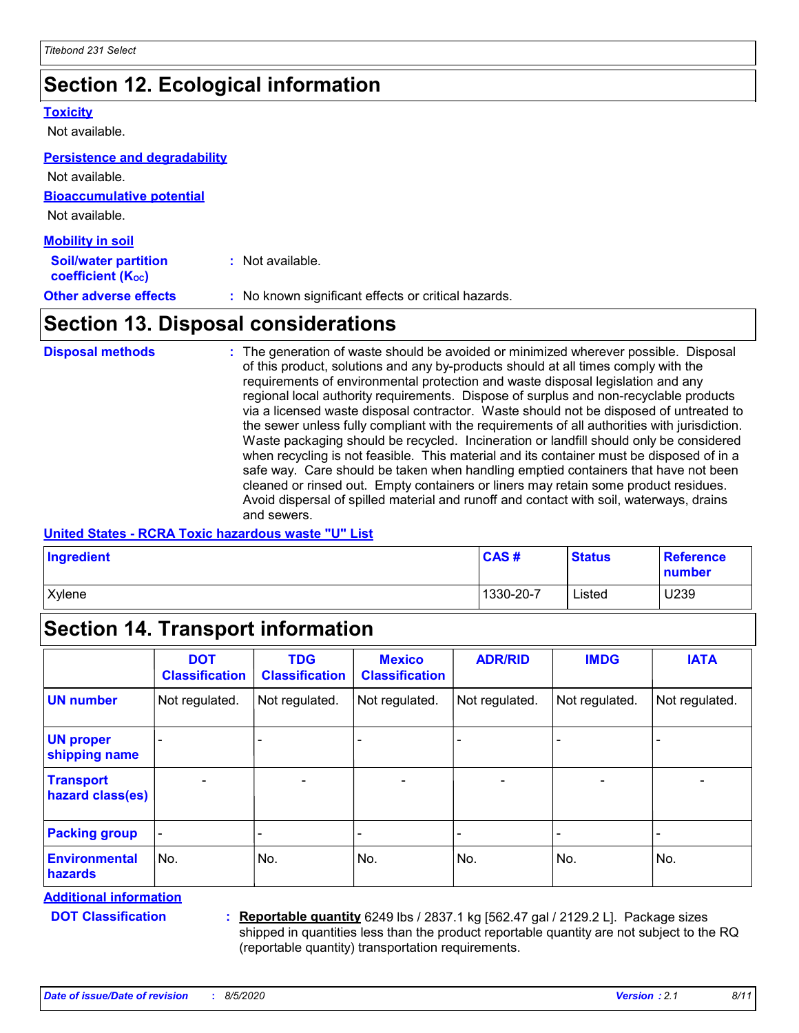### **Section 12. Ecological information**

#### **Toxicity**

Not available.

#### **Persistence and degradability**

**Bioaccumulative potential** Not available. Not available.

| <b>Mobility in soil</b>                                 |                                                     |
|---------------------------------------------------------|-----------------------------------------------------|
| <b>Soil/water partition</b><br><b>coefficient (Koc)</b> | : Not available.                                    |
| <b>Other adverse effects</b>                            | : No known significant effects or critical hazards. |

### **Section 13. Disposal considerations**

The generation of waste should be avoided or minimized wherever possible. Disposal of this product, solutions and any by-products should at all times comply with the requirements of environmental protection and waste disposal legislation and any regional local authority requirements. Dispose of surplus and non-recyclable products via a licensed waste disposal contractor. Waste should not be disposed of untreated to the sewer unless fully compliant with the requirements of all authorities with jurisdiction. Waste packaging should be recycled. Incineration or landfill should only be considered when recycling is not feasible. This material and its container must be disposed of in a safe way. Care should be taken when handling emptied containers that have not been cleaned or rinsed out. Empty containers or liners may retain some product residues. Avoid dispersal of spilled material and runoff and contact with soil, waterways, drains and sewers. **Disposal methods :**

#### **United States - RCRA Toxic hazardous waste "U" List**

| Ingredient    | CAS#      | <b>Status</b> | <b>Reference</b><br><b>number</b> |
|---------------|-----------|---------------|-----------------------------------|
| <b>Xylene</b> | 1330-20-7 | Listed        | U239                              |

### **Section 14. Transport information**

|                                      | <b>DOT</b><br><b>Classification</b> | <b>TDG</b><br><b>Classification</b> | <b>Mexico</b><br><b>Classification</b> | <b>ADR/RID</b>           | <b>IMDG</b>              | <b>IATA</b>              |
|--------------------------------------|-------------------------------------|-------------------------------------|----------------------------------------|--------------------------|--------------------------|--------------------------|
| <b>UN number</b>                     | Not regulated.                      | Not regulated.                      | Not regulated.                         | Not regulated.           | Not regulated.           | Not regulated.           |
| <b>UN proper</b><br>shipping name    |                                     |                                     |                                        |                          |                          |                          |
| <b>Transport</b><br>hazard class(es) | $\qquad \qquad \blacksquare$        | $\overline{\phantom{0}}$            | $\overline{\phantom{0}}$               | $\overline{\phantom{0}}$ | $\overline{\phantom{0}}$ | $\overline{\phantom{0}}$ |
| <b>Packing group</b>                 |                                     |                                     |                                        |                          |                          |                          |
| <b>Environmental</b><br>hazards      | No.                                 | No.                                 | No.                                    | No.                      | No.                      | No.                      |

**Additional information**

**DOT Classification :**

**Reportable quantity** 6249 lbs / 2837.1 kg [562.47 gal / 2129.2 L]. Package sizes shipped in quantities less than the product reportable quantity are not subject to the RQ (reportable quantity) transportation requirements.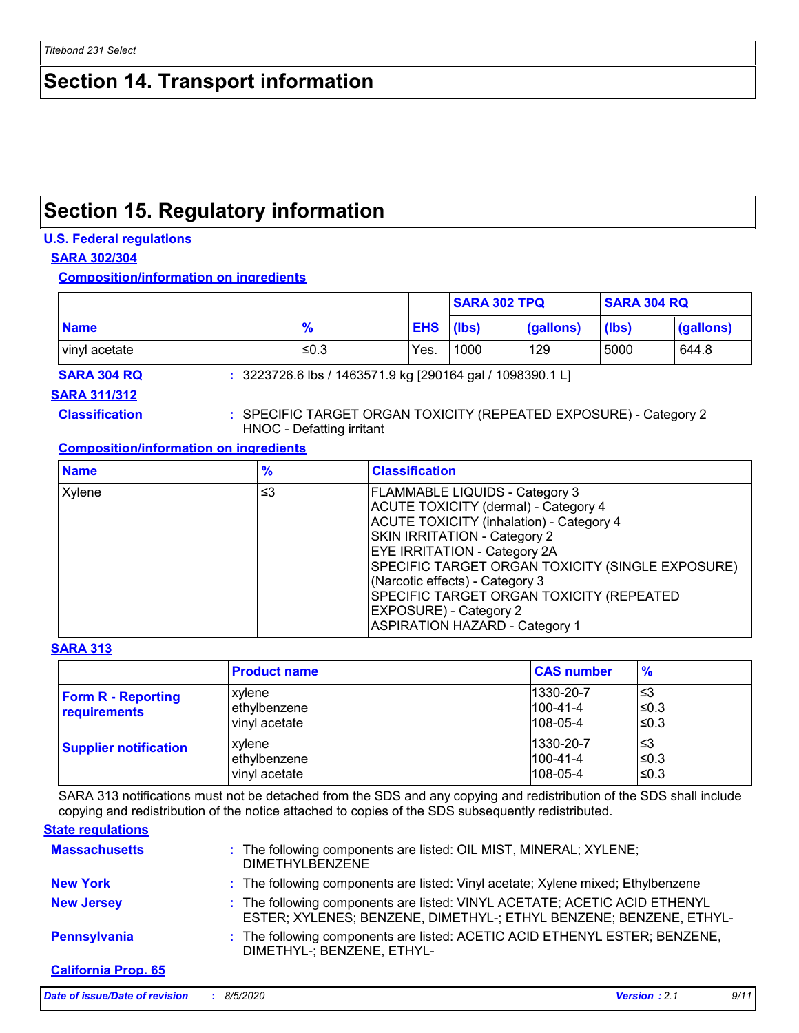### **Section 14. Transport information**

### **Section 15. Regulatory information**

#### **U.S. Federal regulations**

#### **SARA 302/304**

**Composition/information on ingredients**

|               |               |            | <b>SARA 302 TPQ</b><br><b>SARA 304 RQ</b> |           |                  |           |
|---------------|---------------|------------|-------------------------------------------|-----------|------------------|-----------|
| <b>Name</b>   | $\frac{9}{6}$ | <b>EHS</b> | (lbs)                                     | (gallons) | $(\mathsf{lbs})$ | (gallons) |
| vinyl acetate | ≤0.3          | Yes.       | 1000                                      | 129       | 5000             | 644.8     |

**SARA 304 RQ :** 3223726.6 lbs / 1463571.9 kg [290164 gal / 1098390.1 L]

#### **SARA 311/312**

**Classification :** SPECIFIC TARGET ORGAN TOXICITY (REPEATED EXPOSURE) - Category 2 HNOC - Defatting irritant

#### **Composition/information on ingredients**

| <b>Name</b> | $\frac{9}{6}$ | <b>Classification</b>                                                                                                                                                                                                                                                                                                                                                                                                |
|-------------|---------------|----------------------------------------------------------------------------------------------------------------------------------------------------------------------------------------------------------------------------------------------------------------------------------------------------------------------------------------------------------------------------------------------------------------------|
| Xylene      | ≤3            | <b>FLAMMABLE LIQUIDS - Category 3</b><br>ACUTE TOXICITY (dermal) - Category 4<br><b>ACUTE TOXICITY (inhalation) - Category 4</b><br>SKIN IRRITATION - Category 2<br><b>EYE IRRITATION - Category 2A</b><br>SPECIFIC TARGET ORGAN TOXICITY (SINGLE EXPOSURE)<br>(Narcotic effects) - Category 3<br>SPECIFIC TARGET ORGAN TOXICITY (REPEATED<br><b>EXPOSURE) - Category 2</b><br><b>ASPIRATION HAZARD - Category 1</b> |

#### **SARA 313**

|                                           | <b>Product name</b>                     | <b>CAS number</b>                              | $\frac{9}{6}$         |
|-------------------------------------------|-----------------------------------------|------------------------------------------------|-----------------------|
| <b>Form R - Reporting</b><br>requirements | xylene<br>ethylbenzene<br>vinyl acetate | 1330-20-7<br>$1100 - 41 - 4$<br>$108 - 05 - 4$ | l≤3<br>l≤0.3<br>l≤0.3 |
| <b>Supplier notification</b>              | xylene<br>ethylbenzene<br>vinyl acetate | 1330-20-7<br>$1100 - 41 - 4$<br>$108 - 05 - 4$ | l≤3<br>l≤0.3<br>l≤0.3 |

SARA 313 notifications must not be detached from the SDS and any copying and redistribution of the SDS shall include copying and redistribution of the notice attached to copies of the SDS subsequently redistributed.

#### **State regulations**

| <b>Massachusetts</b>       | : The following components are listed: OIL MIST, MINERAL; XYLENE;<br><b>DIMETHYLBENZENE</b>                                                     |
|----------------------------|-------------------------------------------------------------------------------------------------------------------------------------------------|
| <b>New York</b>            | : The following components are listed: Vinyl acetate; Xylene mixed; Ethylbenzene                                                                |
| <b>New Jersey</b>          | : The following components are listed: VINYL ACETATE; ACETIC ACID ETHENYL<br>ESTER; XYLENES; BENZENE, DIMETHYL-; ETHYL BENZENE; BENZENE, ETHYL- |
| Pennsylvania               | : The following components are listed: ACETIC ACID ETHENYL ESTER; BENZENE,<br>DIMETHYL-; BENZENE, ETHYL-                                        |
| <b>California Prop. 65</b> |                                                                                                                                                 |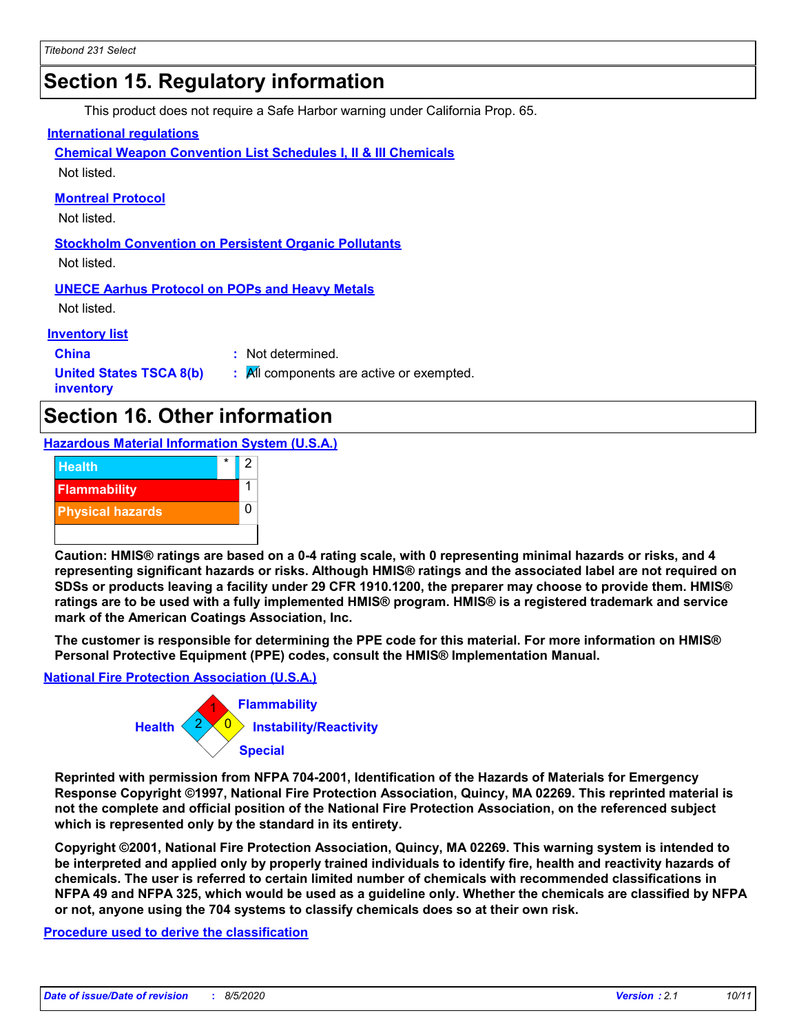### **Section 15. Regulatory information**

This product does not require a Safe Harbor warning under California Prop. 65.

#### **International regulations**

**Chemical Weapon Convention List Schedules I, II & III Chemicals** Not listed.

**Montreal Protocol**

Not listed.

**Stockholm Convention on Persistent Organic Pollutants** Not listed.

**UNECE Aarhus Protocol on POPs and Heavy Metals**

Not listed.

**Inventory list**

**China :** Not determined.

**United States TSCA 8(b) inventory**

**:** All components are active or exempted.

### **Section 16. Other information**

**Hazardous Material Information System (U.S.A.)**



**Caution: HMIS® ratings are based on a 0-4 rating scale, with 0 representing minimal hazards or risks, and 4 representing significant hazards or risks. Although HMIS® ratings and the associated label are not required on SDSs or products leaving a facility under 29 CFR 1910.1200, the preparer may choose to provide them. HMIS® ratings are to be used with a fully implemented HMIS® program. HMIS® is a registered trademark and service mark of the American Coatings Association, Inc.**

**The customer is responsible for determining the PPE code for this material. For more information on HMIS® Personal Protective Equipment (PPE) codes, consult the HMIS® Implementation Manual.**

#### **National Fire Protection Association (U.S.A.)**



**Reprinted with permission from NFPA 704-2001, Identification of the Hazards of Materials for Emergency Response Copyright ©1997, National Fire Protection Association, Quincy, MA 02269. This reprinted material is not the complete and official position of the National Fire Protection Association, on the referenced subject which is represented only by the standard in its entirety.**

**Copyright ©2001, National Fire Protection Association, Quincy, MA 02269. This warning system is intended to be interpreted and applied only by properly trained individuals to identify fire, health and reactivity hazards of chemicals. The user is referred to certain limited number of chemicals with recommended classifications in NFPA 49 and NFPA 325, which would be used as a guideline only. Whether the chemicals are classified by NFPA or not, anyone using the 704 systems to classify chemicals does so at their own risk.**

**Procedure used to derive the classification**